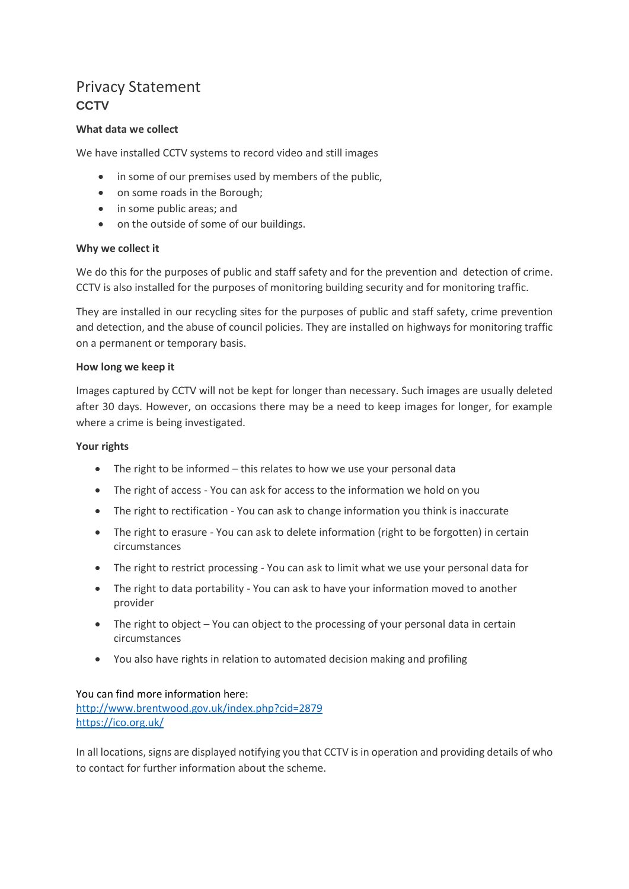# Privacy Statement **CCTV**

# **What data we collect**

We have installed CCTV systems to record video and still images

- in some of our premises used by members of the public,
- on some roads in the Borough;
- in some public areas; and
- on the outside of some of our buildings.

## **Why we collect it**

We do this for the purposes of public and staff safety and for the prevention and detection of crime. CCTV is also installed for the purposes of monitoring building security and for monitoring traffic.

They are installed in our recycling sites for the purposes of public and staff safety, crime prevention and detection, and the abuse of council policies. They are installed on highways for monitoring traffic on a permanent or temporary basis.

#### **How long we keep it**

Images captured by CCTV will not be kept for longer than necessary. Such images are usually deleted after 30 days. However, on occasions there may be a need to keep images for longer, for example where a crime is being investigated.

## **Your rights**

- The right to be informed this relates to how we use your personal data
- The right of access You can ask for access to the information we hold on you
- The right to rectification You can ask to change information you think is inaccurate
- The right to erasure You can ask to delete information (right to be forgotten) in certain circumstances
- The right to restrict processing You can ask to limit what we use your personal data for
- The right to data portability You can ask to have your information moved to another provider
- The right to object You can object to the processing of your personal data in certain circumstances
- You also have rights in relation to automated decision making and profiling

#### You can find more information here:

<http://www.brentwood.gov.uk/index.php?cid=2879> <https://ico.org.uk/>

In all locations, signs are displayed notifying you that CCTV is in operation and providing details of who to contact for further information about the scheme.